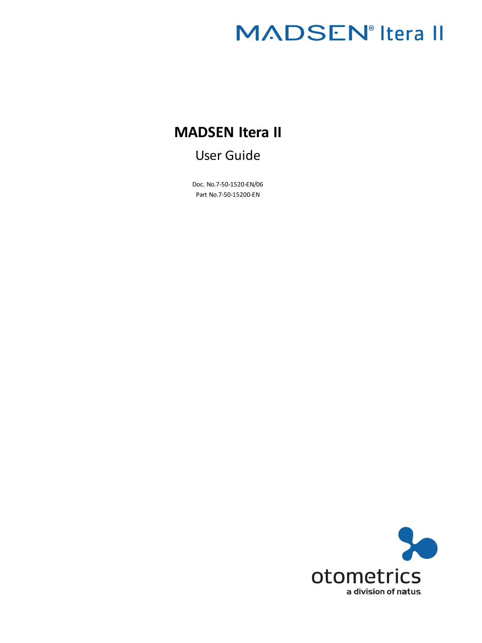# **MADSEN**<sup>®</sup> Itera II

## **MADSEN Itera II**

### User Guide

Doc. No.7-50-1520-EN/06 Part No.7-50-15200-EN

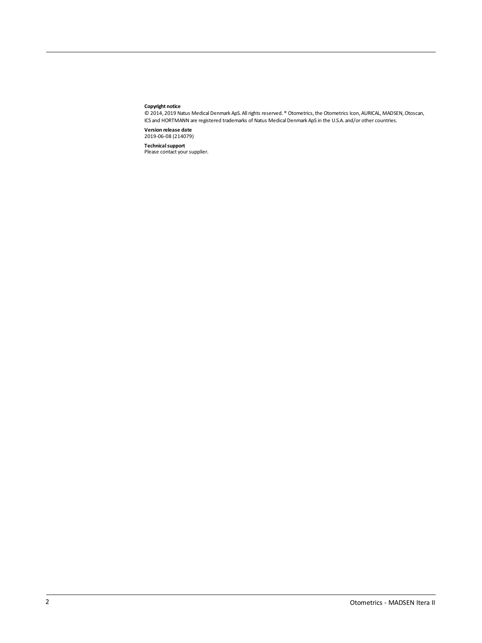#### **Copyright notice**

© 2014, 2019 Natus Medical Denmark ApS. Allrights reserved. ® Otometrics,the Otometrics Icon, AURICAL, MADSEN,Otoscan, ICS and HORTMANN are registered trademarks of Natus Medical Denmark ApS in the U.S.A. and/or other countries.

**Version release date** 2019-06-08 (214079)

**Technical support**<br>Please contact your supplier.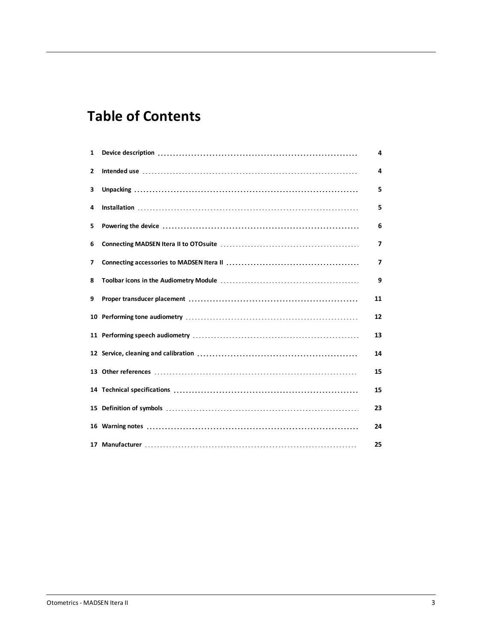## **Table of Contents**

| $\mathbf{1}$ | 4  |
|--------------|----|
| 2            | 4  |
| 3            | 5  |
| 4            | 5  |
| 5            | 6  |
| 6            | 7  |
| 7            | 7  |
| 8            | 9  |
| 9            | 11 |
| 10           | 12 |
|              | 13 |
|              | 14 |
|              | 15 |
|              | 15 |
|              | 23 |
|              | 24 |
|              | 25 |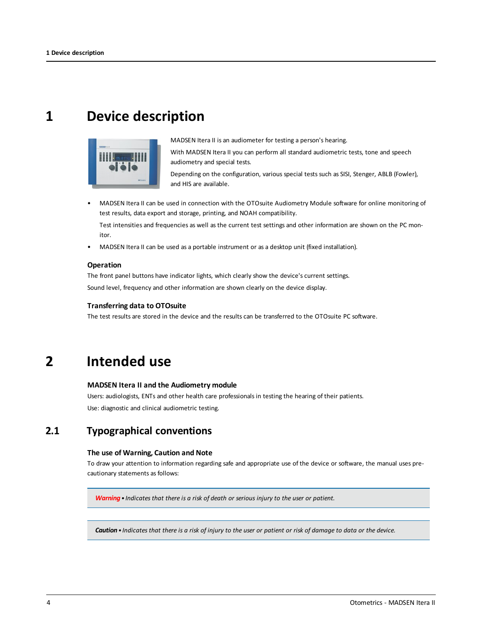## <span id="page-3-0"></span>**1 Device description**



MADSEN Itera II is an audiometer for testing a person's hearing.

With MADSEN Itera II you can perform all standard audiometric tests, tone and speech audiometry and special tests.

Depending on the configuration, various special tests such as SISI, Stenger, ABLB (Fowler), and HIS are available.

• MADSEN Itera II can be used in connection with the OTOsuite Audiometry Module software for online monitoring of test results, data export and storage, printing, and NOAH compatibility.

Test intensities and frequencies as well as the current test settings and other information are shown on the PC monitor.

• MADSEN Itera II can be used as a portable instrument or as a desktop unit (fixed installation).

#### **Operation**

The front panel buttons have indicator lights, which clearly show the device's current settings. Sound level, frequency and other information are shown clearly on the device display.

#### **Transferring data to OTOsuite**

<span id="page-3-1"></span>The test results are stored in the device and the results can be transferred to the OTOsuite PC software.

## **2 Intended use**

#### **MADSEN Itera II and the Audiometry module**

Users: audiologists, ENTs and other health care professionals in testing the hearing of their patients. Use: diagnostic and clinical audiometric testing.

### **2.1 Typographical conventions**

#### **The use of Warning, Caution and Note**

To draw your attention to information regarding safe and appropriate use of the device or software, the manual uses precautionary statements as follows:

*Warning• Indicates that there is a risk of death or serious injury to the user or patient.*

Caution . Indicates that there is a risk of injury to the user or patient or risk of damage to data or the device.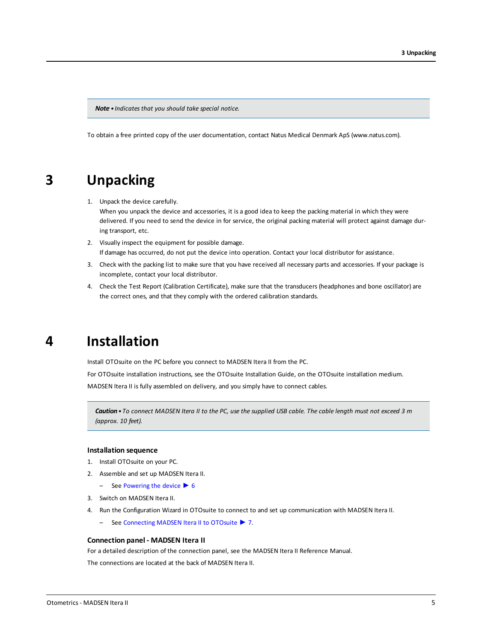*Note • Indicates that you should take special notice.*

<span id="page-4-0"></span>To obtain a free printed copy of the user documentation, contact Natus Medical Denmark ApS (www.natus.com).

### **3 Unpacking**

1. Unpack the device carefully.

When you unpack the device and accessories, it is a good idea to keep the packing material in which they were delivered. If you need to send the device in for service, the original packing material will protect against damage during transport, etc.

- 2. Visually inspect the equipment for possible damage. If damage has occurred, do not put the device into operation. Contact your local distributor for assistance.
- 3. Check with the packing list to make sure that you have received all necessary parts and accessories. If your package is incomplete, contact your local distributor.
- <span id="page-4-1"></span>4. Check the Test Report (Calibration Certificate), make sure that the transducers (headphones and bone oscillator) are the correct ones, and that they comply with the ordered calibration standards.

### **4 Installation**

Install OTOsuite on the PC before you connect to MADSEN Itera II from the PC.

For OTOsuite installation instructions, see the OTOsuite Installation Guide, on the OTOsuite installation medium. MADSEN Itera II is fully assembled on delivery, and you simply have to connect cables.

Caution . To connect MADSEN Itera II to the PC, use the supplied USB cable. The cable length must not exceed 3 m *(approx. 10 feet).*

#### **Installation sequence**

- 1. Install OTOsuite on your PC.
- 2. Assemble and set up MADSEN Itera II.
	- $-$  See [Powering](#page-5-0) the device  $\triangleright$  6
- 3. Switch on MADSEN Itera II.
- 4. Run the Configuration Wizard in OTOsuite to connect to and set up communication with MADSEN Itera II.
	- See [Connecting](#page-6-0) MADSEN Itera II to OTOsuite ► 7.

#### **Connection panel - MADSEN Itera II**

For a detailed description of the connection panel, see the MADSEN Itera II Reference Manual.

The connections are located at the back of MADSEN Itera II.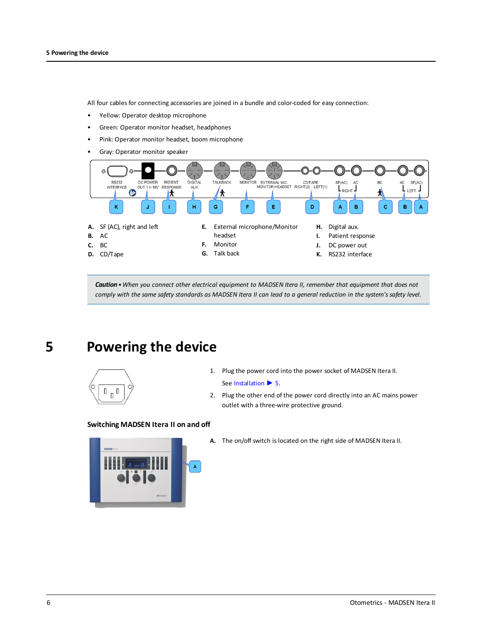All four cables for connecting accessories are joined in a bundle and color-coded for easy connection:

- Yellow: Operator desktop microphone
- Green: Operator monitor headset, headphones
- Pink: Operator monitor headset, boom microphone
- Gray: Operator monitor speaker



<span id="page-5-0"></span>Caution . When you connect other electrical equipment to MADSEN Itera II, remember that equipment that does not comply with the same safety standards as MADSEN Itera II can lead to a general reduction in the system's safety level.

## **5 Powering the device**



- 1. Plug the power cord into the power socket of MADSEN Itera II.
	- See [Installation](#page-4-1) ▶ 5.
- 2. Plug the other end of the power cord directly into an AC mains power outlet with a three-wire protective ground.

#### **Switching MADSEN Itera II on and off**



**A.** The on/off switch is located on the right side of MADSEN Itera II.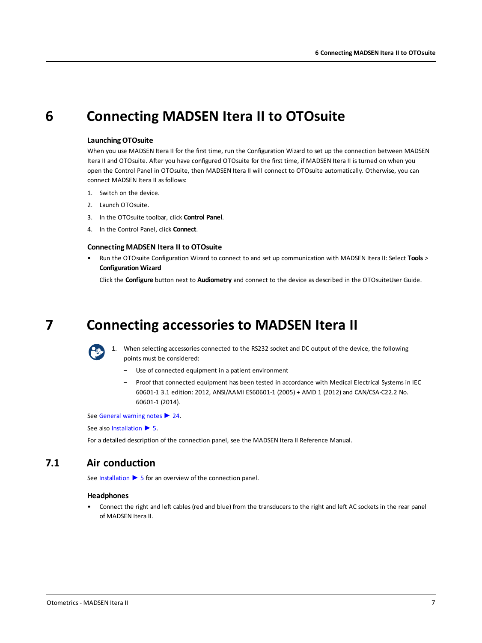## **6 Connecting MADSEN Itera II to OTOsuite**

#### <span id="page-6-0"></span>**Launching OTOsuite**

When you use MADSEN Itera II for the first time, run the Configuration Wizard to set up the connection between MADSEN Itera II and OTOsuite. After you have configured OTOsuite for the first time, if MADSEN Itera II is turned on when you open the Control Panel in OTOsuite, then MADSEN Itera II will connect to OTOsuite automatically. Otherwise, you can connect MADSEN Itera II as follows:

- 1. Switch on the device.
- 2. Launch OTOsuite.
- 3. In the OTOsuite toolbar, click **Control Panel**.
- 4. In the Control Panel, click **Connect**.

#### **Connecting MADSEN Itera II to OTOsuite**

• Run the OTOsuite Configuration Wizard to connect to and set up communication with MADSEN Itera II: Select **Tools** > **Configuration Wizard**

<span id="page-6-1"></span>Click the **Configure** button next to **Audiometry** and connect to the device as described in the OTOsuiteUser Guide.

## **7 Connecting accessories to MADSEN Itera II**



1. When selecting accessories connected to the RS232 socket and DC output of the device, the following points must be considered:

- Use of connected equipment in a patient environment
- Proof that connected equipment has been tested in accordance with Medical Electrical Systems in IEC 60601-1 3.1 edition: 2012, ANSI/AAMI ES60601-1 (2005) + AMD 1 (2012) and CAN/CSA-C22.2 No. 60601-1 (2014).

See General [warning](#page-23-1) notes ► 24.

See also [Installation](#page-4-1) ▶ 5.

For a detailed description of the connection panel, see the MADSEN Itera II Reference Manual.

### **7.1 Air conduction**

See [Installation](#page-4-1) ► 5 for an overview of the connection panel.

#### **Headphones**

• Connect the right and left cables (red and blue) from the transducers to the right and left AC sockets in the rear panel of MADSEN Itera II.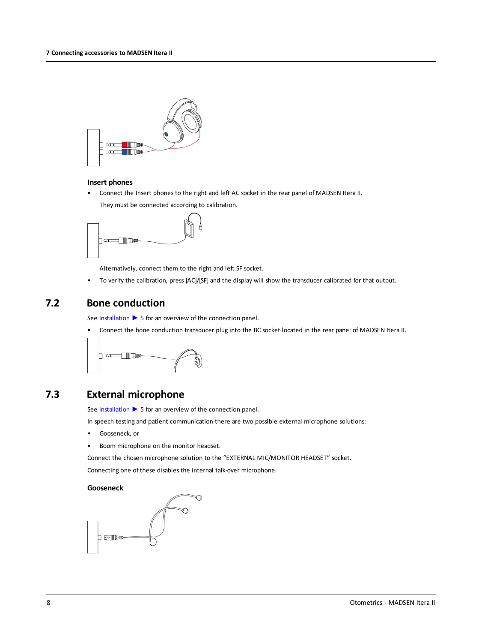

#### **Insert phones**

• Connect the Insert phones to the right and left AC socket in the rear panel of MADSEN Itera II. They must be connected according to calibration.



Alternatively, connect them to the right and left SF socket.

• To verify the calibration, press [AC]/[SF] and the display will show the transducer calibrated for that output.

### **7.2 Bone conduction**

See [Installation](#page-4-1) ► 5 for an overview of the connection panel.

• Connect the bone conduction transducer plug into the BC socket located in the rear panel of MADSEN Itera II.



### **7.3 External microphone**

See [Installation](#page-4-1) ► 5 for an overview of the connection panel.

In speech testing and patient communication there are two possible external microphone solutions:

- Gooseneck, or
- Boom microphone on the monitor headset.

Connect the chosen microphone solution to the "EXTERNAL MIC/MONITOR HEADSET" socket.

Connecting one of these disables the internal talk-over microphone.

#### **Gooseneck**

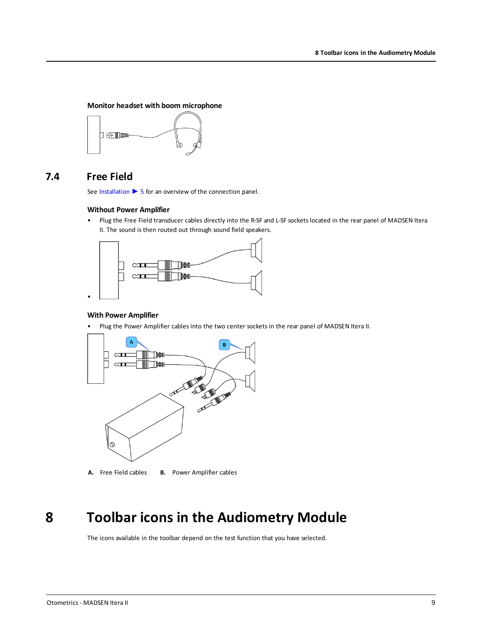#### **Monitor headset with boom microphone**



### **7.4 Free Field**

See [Installation](#page-4-1) ► 5 for an overview of the connection panel.

#### **Without Power Amplifier**

• Plug the Free Field transducer cables directly into the R-SF and L-SF sockets located in the rear panel of MADSEN Itera II. The sound is then routed out through sound field speakers.



#### **With Power Amplifier**

• Plug the Power Amplifier cables into the two center sockets in the rear panel of MADSEN Itera II.



**A.** Free Field cables **B.** Power Amplifier cables

## **8 Toolbar icons in the Audiometry Module**

<span id="page-8-0"></span>The icons available in the toolbar depend on the test function that you have selected.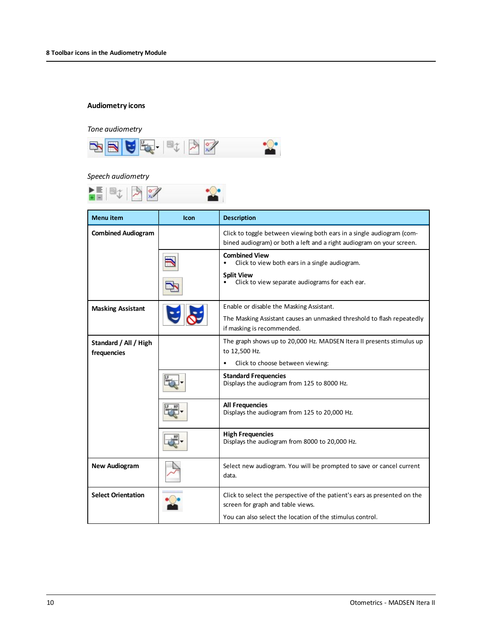#### **Audiometry icons**

#### *Tone audiometry*



#### *Speech audiometry*



| <b>Menu</b> item                     | <b>Icon</b> | <b>Description</b>                                                                                                                             |
|--------------------------------------|-------------|------------------------------------------------------------------------------------------------------------------------------------------------|
| <b>Combined Audiogram</b>            |             | Click to toggle between viewing both ears in a single audiogram (com-<br>bined audiogram) or both a left and a right audiogram on your screen. |
|                                      |             | <b>Combined View</b><br>Click to view both ears in a single audiogram.                                                                         |
|                                      |             | <b>Split View</b><br>Click to view separate audiograms for each ear.                                                                           |
| <b>Masking Assistant</b>             |             | Enable or disable the Masking Assistant.                                                                                                       |
|                                      |             | The Masking Assistant causes an unmasked threshold to flash repeatedly<br>if masking is recommended.                                           |
| Standard / All / High<br>frequencies |             | The graph shows up to 20,000 Hz. MADSEN Itera II presents stimulus up<br>to 12,500 Hz.                                                         |
|                                      |             | Click to choose between viewing:<br>٠                                                                                                          |
|                                      |             | <b>Standard Frequencies</b><br>Displays the audiogram from 125 to 8000 Hz.                                                                     |
|                                      |             | <b>All Frequencies</b><br>Displays the audiogram from 125 to 20,000 Hz.                                                                        |
|                                      |             | <b>High Frequencies</b><br>Displays the audiogram from 8000 to 20,000 Hz.                                                                      |
| <b>New Audiogram</b>                 |             | Select new audiogram. You will be prompted to save or cancel current<br>data.                                                                  |
| <b>Select Orientation</b>            |             | Click to select the perspective of the patient's ears as presented on the<br>screen for graph and table views.                                 |
|                                      |             | You can also select the location of the stimulus control.                                                                                      |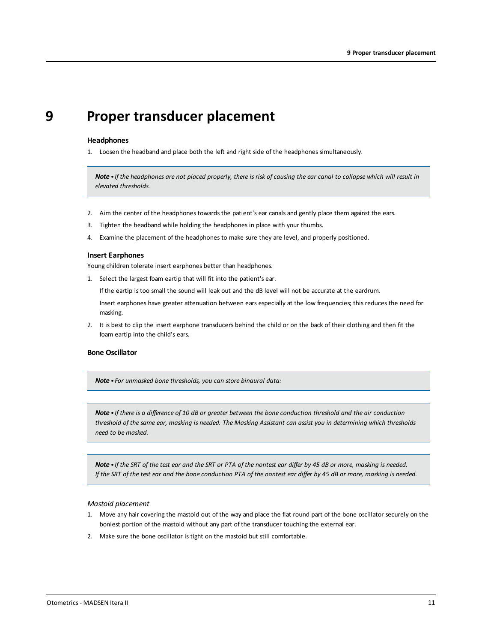### <span id="page-10-0"></span>**9 Proper transducer placement**

#### **Headphones**

1. Loosen the headband and place both the left and right side of the headphones simultaneously.

Note . If the headphones are not placed properly, there is risk of causing the ear canal to collapse which will result in *elevated thresholds.*

- 2. Aim the center of the headphones towards the patient's ear canals and gently place them against the ears.
- 3. Tighten the headband while holding the headphones in place with your thumbs.
- 4. Examine the placement of the headphones to make sure they are level, and properly positioned.

#### **Insert Earphones**

Young children tolerate insert earphones better than headphones.

1. Select the largest foam eartip that will fit into the patient's ear.

If the eartip is too small the sound will leak out and the dB level will not be accurate at the eardrum.

Insert earphones have greater attenuation between ears especially at the low frequencies; this reduces the need for masking.

2. It is best to clip the insert earphone transducers behind the child or on the back of their clothing and then fit the foam eartip into the child's ears.

#### **Bone Oscillator**

*Note • For unmasked bone thresholds, you can store binaural data:*

Note • If there is a difference of 10 dB or greater between the bone conduction threshold and the air conduction threshold of the same ear, masking is needed. The Masking Assistant can assist you in determining which thresholds *need to be masked.*

Note . If the SRT of the test ear and the SRT or PTA of the nontest ear differ by 45 dB or more, masking is needed. If the SRT of the test ear and the bone conduction PTA of the nontest ear differ by 45 dB or more, masking is needed.

#### *Mastoid placement*

- 1. Move any hair covering the mastoid out of the way and place the flat round part of the bone oscillator securely on the boniest portion of the mastoid without any part of the transducer touching the external ear.
- 2. Make sure the bone oscillator is tight on the mastoid but still comfortable.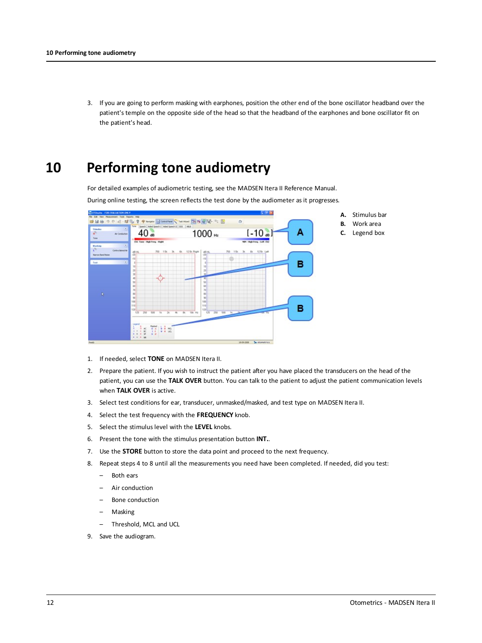<span id="page-11-0"></span>3. If you are going to perform masking with earphones, position the other end of the bone oscillator headband over the patient's temple on the opposite side of the head so that the headband of the earphones and bone oscillator fit on the patient's head.

## **10 Performing tone audiometry**

For detailed examples of audiometric testing, see the MADSEN Itera II Reference Manual.

During online testing, the screen reflects the test done by the audiometer as it progresses.



- 1. If needed, select **TONE** on MADSEN Itera II.
- 2. Prepare the patient. If you wish to instruct the patient after you have placed the transducers on the head of the patient, you can use the **TALK OVER** button. You can talk to the patient to adjust the patient communication levels when **TALK OVER** is active.
- 3. Select test conditions for ear, transducer, unmasked/masked, and test type on MADSEN Itera II.
- 4. Select the test frequency with the **FREQUENCY** knob.
- 5. Select the stimulus level with the **LEVEL** knobs.
- 6. Present the tone with the stimulus presentation button **INT.**.
- 7. Use the **STORE** button to store the data point and proceed to the next frequency.
- 8. Repeat steps 4 to 8 until all the measurements you need have been completed. If needed, did you test:
	- Both ears
	- Air conduction
	- Bone conduction
	- Masking
	- Threshold, MCL and UCL
- 9. Save the audiogram.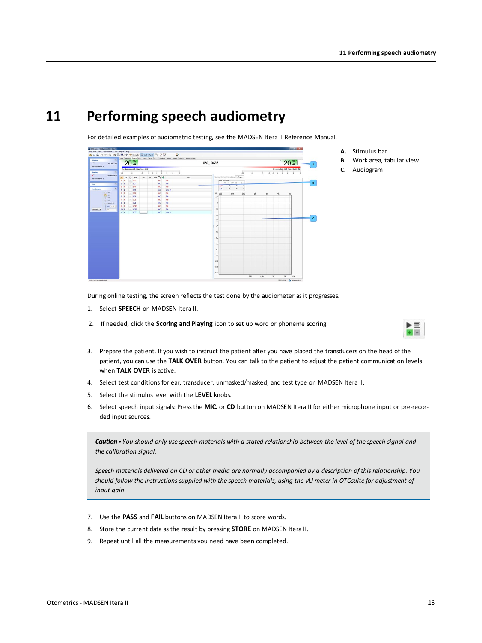## **11 Performing speech audiometry**

<span id="page-12-0"></span>For detailed examples of audiometric testing, see the MADSEN Itera II Reference Manual.



- **A.** Stimulus bar
- **B.** Work area, tabular view
- **C.** Audiogram

During online testing, the screen reflects the test done by the audiometer as it progresses.

- 1. Select **SPEECH** on MADSEN Itera II.
- 2. If needed, click the **Scoring and Playing** icon to set up word or phoneme scoring.



- 3. Prepare the patient. If you wish to instruct the patient after you have placed the transducers on the head of the patient, you can use the **TALK OVER** button. You can talk to the patient to adjust the patient communication levels when **TALK OVER** is active.
- 4. Select test conditions for ear, transducer, unmasked/masked, and test type on MADSEN Itera II.
- 5. Select the stimulus level with the **LEVEL** knobs.
- 6. Select speech input signals: Press the **MIC.** or **CD** button on MADSEN Itera II for either microphone input or pre-recorded input sources.

Caution • You should only use speech materials with a stated relationship between the level of the speech sianal and *the calibration signal.*

Speech materials delivered on CD or other media are normally accompanied by a description of this relationship. You should follow the instructions supplied with the speech materials, using the VU-meter in OTOsuite for adjustment of *input gain*

- 7. Use the **PASS** and **FAIL** buttons on MADSEN Itera II to score words.
- 8. Store the current data as the result by pressing **STORE** on MADSEN Itera II.
- 9. Repeat until all the measurements you need have been completed.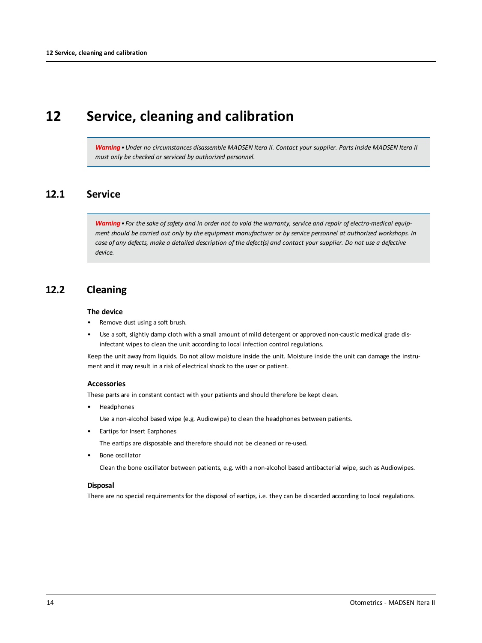### <span id="page-13-0"></span>**12 Service, cleaning and calibration**

Warning . Under no circumstances disassemble MADSEN Itera II. Contact your supplier. Parts inside MADSEN Itera II *must only be checked or serviced by authorized personnel.*

### **12.1 Service**

Warning • For the sake of safety and in order not to void the warranty, service and repair of electro-medical equipment should be carried out only by the equipment manufacturer or by service personnel at authorized workshops. In case of any defects, make a detailed description of the defect(s) and contact your supplier. Do not use a defective *device.*

### **12.2 Cleaning**

#### **The device**

- Remove dust using a soft brush.
- Use a soft, slightly damp cloth with a small amount of mild detergent or approved non-caustic medical grade disinfectant wipes to clean the unit according to local infection control regulations.

Keep the unit away from liquids. Do not allow moisture inside the unit. Moisture inside the unit can damage the instrument and it may result in a risk of electrical shock to the user or patient.

#### **Accessories**

These parts are in constant contact with your patients and should therefore be kept clean.

• Headphones

Use a non-alcohol based wipe (e.g. Audiowipe) to clean the headphones between patients.

• Eartips for Insert Earphones

The eartips are disposable and therefore should not be cleaned or re-used.

• Bone oscillator

Clean the bone oscillator between patients, e.g. with a non-alcohol based antibacterial wipe, such as Audiowipes.

#### **Disposal**

There are no special requirements for the disposal of eartips, i.e. they can be discarded according to local regulations.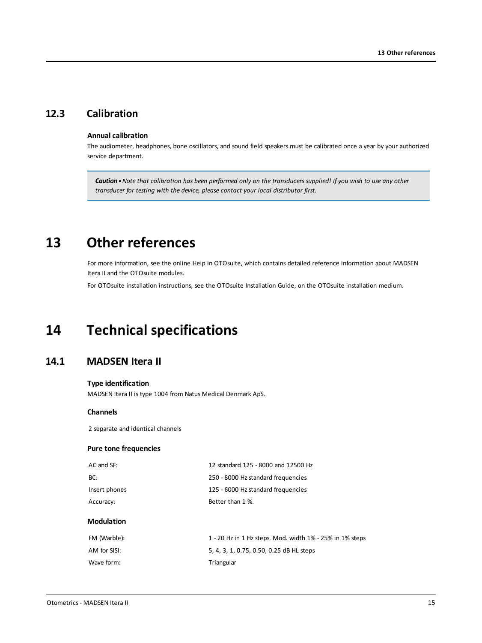### **12.3 Calibration**

#### **Annual calibration**

The audiometer, headphones, bone oscillators, and sound field speakers must be calibrated once a year by your authorized service department.

<span id="page-14-0"></span>Caution . Note that calibration has been performed only on the transducers supplied! If you wish to use any other *transducer for testing with the device, please contact your local distributor first.*

## **13 Other references**

For more information, see the online Help in OTOsuite, which contains detailed reference information about MADSEN Itera II and the OTOsuite modules.

<span id="page-14-1"></span>For OTOsuite installation instructions, see the OTOsuite Installation Guide, on the OTOsuite installation medium.

## **14 Technical specifications**

### **14.1 MADSEN Itera II**

#### **Type identification**

MADSEN Itera II is type 1004 from Natus Medical Denmark ApS.

#### **Channels**

2 separate and identical channels

#### **Pure tone frequencies**

| AC and SF:    | 12 standard 125 - 8000 and 12500 Hz |
|---------------|-------------------------------------|
| BC:           | 250 - 8000 Hz standard frequencies  |
| Insert phones | 125 - 6000 Hz standard frequencies  |
| Accuracy:     | Better than 1 %.                    |
|               |                                     |

#### **Modulation**

| FM (Warble): | 1 - 20 Hz in 1 Hz steps. Mod. width 1% - 25% in 1% steps |
|--------------|----------------------------------------------------------|
| AM for SISI: | 5, 4, 3, 1, 0.75, 0.50, 0.25 dB HL steps                 |
| Wave form:   | Triangular                                               |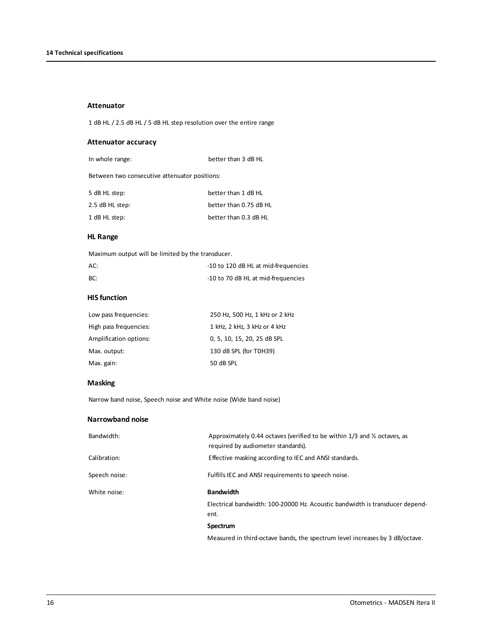#### **Attenuator**

1 dB HL / 2.5 dB HL / 5 dB HL step resolution over the entire range

#### **Attenuator accuracy**

| In whole range: | better than 3 dB HL |
|-----------------|---------------------|
|-----------------|---------------------|

Between two consecutive attenuator positions:

| 5 dB HL step:   | better than 1 dB HL    |
|-----------------|------------------------|
| 2.5 dB HL step: | better than 0.75 dB HL |
| 1 dB HL step:   | better than 0.3 dB HL  |

#### **HL Range**

Maximum output will be limited by the transducer.

| AC: | -10 to 120 dB HL at mid-frequencies |
|-----|-------------------------------------|
| BC: | -10 to 70 dB HL at mid-frequencies  |

#### **HIS function**

| Low pass frequencies:  | 250 Hz, 500 Hz, 1 kHz or 2 kHz |
|------------------------|--------------------------------|
| High pass frequencies: | 1 kHz, 2 kHz, 3 kHz or 4 kHz   |
| Amplification options: | 0, 5, 10, 15, 20, 25 dB SPL    |
| Max. output:           | 130 dB SPL (for TDH39)         |
| Max. gain:             | 50 dB SPL                      |

#### **Masking**

Narrow band noise, Speech noise and White noise (Wide band noise)

#### **Narrowband noise**

| Bandwidth:    | Approximately 0.44 octaves (verified to be within $1/3$ and $\frac{1}{2}$ octaves, as<br>required by audiometer standards). |
|---------------|-----------------------------------------------------------------------------------------------------------------------------|
| Calibration:  | Effective masking according to IEC and ANSI standards.                                                                      |
| Speech noise: | Fulfills IEC and ANSI requirements to speech noise.                                                                         |
| White noise:  | <b>Bandwidth</b>                                                                                                            |
|               | Electrical bandwidth: 100-20000 Hz. Acoustic bandwidth is transducer depend-<br>ent.                                        |
|               | Spectrum                                                                                                                    |

Measured in third-octave bands, the spectrum level increases by 3 dB/octave.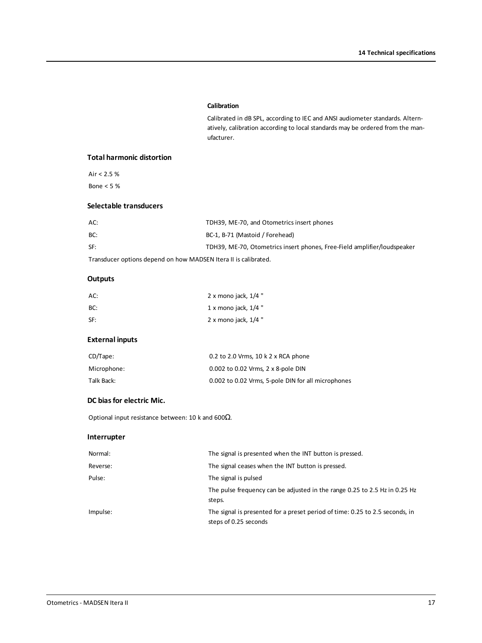#### **Calibration**

Calibrated in dB SPL, according to IEC and ANSI audiometer standards. Alternatively, calibration according to local standards may be ordered from the manufacturer.

#### **Total harmonic distortion**

Air  $< 2.5 %$ Bone < 5 %

#### **Selectable transducers**

| AC: | TDH39, ME-70, and Otometrics insert phones                               |
|-----|--------------------------------------------------------------------------|
| BC: | BC-1, B-71 (Mastoid / Forehead)                                          |
| SF: | TDH39, ME-70, Otometrics insert phones, Free-Field amplifier/loudspeaker |

Transducer options depend on how MADSEN Itera II is calibrated.

#### **Outputs**

| AC: | 2 x mono jack, $1/4$ " |
|-----|------------------------|
| BC: | 1 x mono jack, $1/4$ " |
| SF: | 2 x mono jack, $1/4$ " |

#### **External inputs**

| $CD/T$ ape: | 0.2 to 2.0 Vrms, $10 k$ 2 x RCA phone              |
|-------------|----------------------------------------------------|
| Microphone: | 0.002 to 0.02 Vrms, 2 x 8-pole DIN                 |
| Talk Back:  | 0.002 to 0.02 Vrms, 5-pole DIN for all microphones |

#### **DC biasfor electric Mic.**

Optional input resistance between: 10 k and 600Ω.

#### **Interrupter**

| Normal:  | The signal is presented when the INT button is pressed.                                               |
|----------|-------------------------------------------------------------------------------------------------------|
| Reverse: | The signal ceases when the INT button is pressed.                                                     |
| Pulse:   | The signal is pulsed                                                                                  |
|          | The pulse frequency can be adjusted in the range 0.25 to 2.5 Hz in 0.25 Hz<br>steps.                  |
| Impulse: | The signal is presented for a preset period of time: 0.25 to 2.5 seconds, in<br>steps of 0.25 seconds |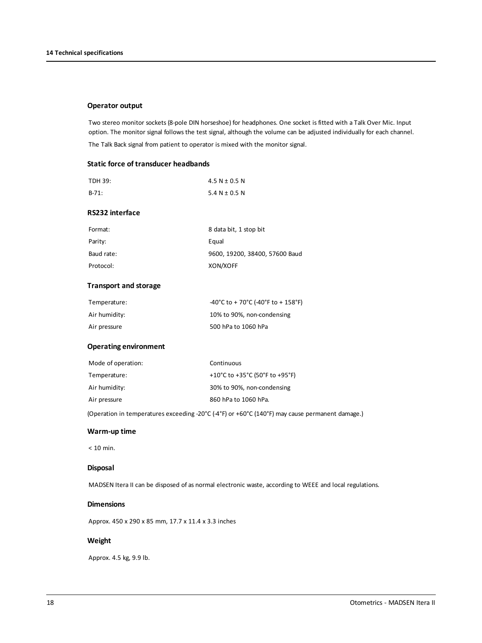#### **Operator output**

Two stereo monitor sockets (8-pole DIN horseshoe) for headphones. One socket is fitted with a Talk Over Mic. Input option. The monitor signal follows the test signal, although the volume can be adjusted individually for each channel. The Talk Back signal from patient to operator is mixed with the monitor signal.

#### **Static force of transducer headbands**

| TDH 39:                      | 4.5 N $\pm$ 0.5 N                  |
|------------------------------|------------------------------------|
| $B-71:$                      | 5.4 $N \pm 0.5$ N                  |
| RS232 interface              |                                    |
| Format:                      | 8 data bit, 1 stop bit             |
| Parity:                      | Equal                              |
| Baud rate:                   | 9600, 19200, 38400, 57600 Baud     |
| Protocol:                    | XON/XOFF                           |
| <b>Transport and storage</b> |                                    |
| Temperature:                 | -40°C to + 70°C (-40°F to + 158°F) |
| Air humidity:                | 10% to 90%, non-condensing         |
| Air pressure                 | 500 hPa to 1060 hPa                |
| <b>Operating environment</b> |                                    |
| Mode of operation:           | Continuous                         |
| Temperature:                 | +10°C to +35°C (50°F to +95°F)     |
| Air humidity:                | 30% to 90%, non-condensing         |
| Air pressure                 | 860 hPa to 1060 hPa.               |
|                              |                                    |

(Operation in temperatures exceeding -20°C (-4°F) or +60°C (140°F) may cause permanent damage.)

#### **Warm-up time**

< 10 min.

#### **Disposal**

MADSEN Itera II can be disposed of as normal electronic waste, according to WEEE and local regulations.

#### **Dimensions**

Approx. 450 x 290 x 85 mm, 17.7 x 11.4 x 3.3 inches

#### **Weight**

Approx. 4.5 kg, 9.9 lb.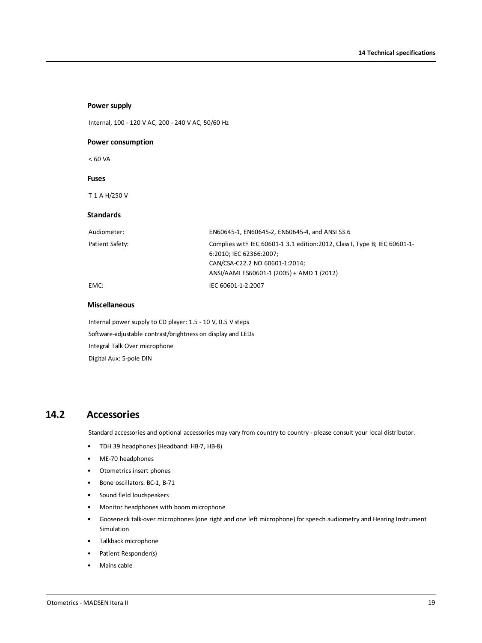| Internal, 100 - 120 V AC, 200 - 240 V AC, 50/60 Hz |                                                                                                                                                                                      |  |
|----------------------------------------------------|--------------------------------------------------------------------------------------------------------------------------------------------------------------------------------------|--|
| <b>Power consumption</b>                           |                                                                                                                                                                                      |  |
| < 60 VA                                            |                                                                                                                                                                                      |  |
| <b>Fuses</b>                                       |                                                                                                                                                                                      |  |
| T 1 A H/250 V                                      |                                                                                                                                                                                      |  |
| <b>Standards</b>                                   |                                                                                                                                                                                      |  |
| Audiometer:                                        | EN60645-1, EN60645-2, EN60645-4, and ANSI S3.6                                                                                                                                       |  |
| Patient Safety:                                    | Complies with IEC 60601-1 3.1 edition: 2012, Class I, Type B; IEC 60601-1-<br>6:2010; IEC 62366:2007;<br>CAN/CSA-C22.2 NO 60601-1:2014;<br>ANSI/AAMI ES60601-1 (2005) + AMD 1 (2012) |  |
| EMC:                                               | IEC 60601-1-2:2007                                                                                                                                                                   |  |

#### **Miscellaneous**

**Power supply**

Internal power supply to CD player: 1.5 - 10 V, 0.5 V steps Software-adjustable contrast/brightness on display and LEDs Integral Talk Over microphone Digital Aux: 5-pole DIN

### **14.2 Accessories**

Standard accessories and optional accessories may vary from country to country - please consult your local distributor.

- TDH 39 headphones (Headband: HB-7, HB-8)
- ME-70 headphones
- Otometrics insert phones
- Bone oscillators: BC-1, B-71
- Sound field loudspeakers
- Monitor headphones with boom microphone
- Gooseneck talk-over microphones (one right and one left microphone) for speech audiometry and Hearing Instrument Simulation
- Talkback microphone
- Patient Responder(s)
- Mains cable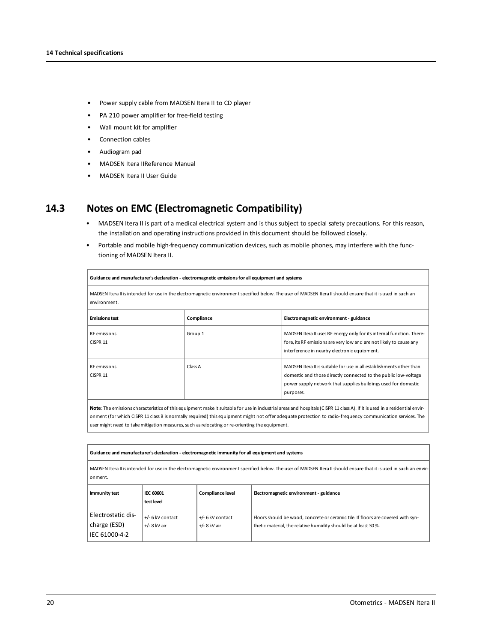- Power supply cable from MADSEN Itera II to CD player
- PA 210 power amplifier for free-field testing
- Wall mount kit for amplifier
- Connection cables
- Audiogram pad
- MADSEN Itera IIReference Manual
- MADSEN Itera II User Guide

### **14.3 Notes on EMC (Electromagnetic Compatibility)**

- MADSEN Itera II is part of a medical electrical system and is thus subject to special safety precautions. For this reason, the installation and operating instructions provided in this document should be followed closely.
- Portable and mobile high-frequency communication devices, such as mobile phones, may interfere with the functioning of MADSEN Itera II.

| Guidance and manufacturer's declaration - electromagnetic emissions for all equipment and systems                                                                            |            |                                                                                                                                                                                                                        |
|------------------------------------------------------------------------------------------------------------------------------------------------------------------------------|------------|------------------------------------------------------------------------------------------------------------------------------------------------------------------------------------------------------------------------|
| MADSEN Itera II is intended for use in the electromagnetic environment specified below. The user of MADSEN Itera II should ensure that it is used in such an<br>environment. |            |                                                                                                                                                                                                                        |
| <b>Emissions test</b>                                                                                                                                                        | Compliance | Electromagnetic environment - guidance                                                                                                                                                                                 |
| RF emissions<br>CISPR 11                                                                                                                                                     | Group 1    | MADSEN Itera II uses RF energy only for its internal function. There-<br>fore, its RF emissions are very low and are not likely to cause any<br>interference in nearby electronic equipment.                           |
| RF emissions<br>CISPR 11                                                                                                                                                     | Class A    | MADSEN Itera II is suitable for use in all establishments other than<br>domestic and those directly connected to the public low-voltage<br>power supply network that supplies buildings used for domestic<br>purposes. |
|                                                                                                                                                                              |            |                                                                                                                                                                                                                        |

**Note**: The emissions characteristics of this equipment make it suitable for use in industrial areas and hospitals(CISPR 11 class A). If it is used in a residential environment (for which CISPR 11 class B is normally required) this equipment might not offer adequate protection to radio-frequency communication services. The user might need to take mitigation measures, such as relocating or re-orienting the equipment.

| Guidance and manufacturer's declaration - electromagnetic immunity for all equipment and systems                                                                               |                                    |                                    |                                                                                                                                                     |
|--------------------------------------------------------------------------------------------------------------------------------------------------------------------------------|------------------------------------|------------------------------------|-----------------------------------------------------------------------------------------------------------------------------------------------------|
| MADSEN Itera II is intended for use in the electromagnetic environment specified below. The user of MADSEN Itera II should ensure that it is used in such an envir-<br>onment. |                                    |                                    |                                                                                                                                                     |
| Immunity test                                                                                                                                                                  | <b>IEC 60601</b><br>test level     | Compliance level                   | Electromagnetic environment - guidance                                                                                                              |
| Electrostatic dis-<br>charge (ESD)<br>IEC 61000-4-2                                                                                                                            | +/- 6 kV contact<br>$+/-$ 8 kV air | +/- 6 kV contact<br>$+/-$ 8 kV air | Floors should be wood, concrete or ceramic tile. If floors are covered with syn-<br>thetic material, the relative humidity should be at least 30 %. |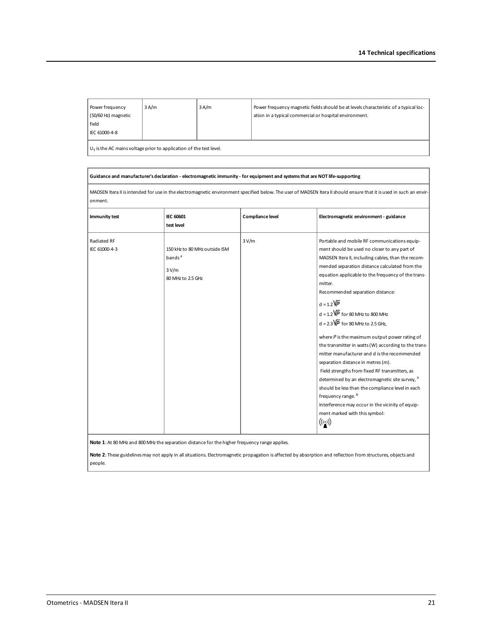| Power frequency<br>(50/60 Hz) magnetic<br>field<br>IEC 61000-4-8     | 3A/m | 3A/m | Power frequency magnetic fields should be at levels characteristic of a typical loc-<br>ation in a typical commercial or hospital environment. |
|----------------------------------------------------------------------|------|------|------------------------------------------------------------------------------------------------------------------------------------------------|
| $UT$ is the AC mains voltage prior to application of the test level. |      |      |                                                                                                                                                |

#### **Guidance and manufacturer's declaration - electromagnetic immunity - for equipment and systemsthat areNOT life-supporting**

MADSEN Itera II is intended for use in the electromagnetic environment specified below. The user of MADSEN Itera II should ensure that it is used in such an environment.

| Immunity test                | <b>IEC 60601</b><br>test level                                                    | Compliance level | Electromagnetic environment - guidance                                                                                                                                                                                                                                                                                                                                                                                                                                                                                                                                                                                                                                                                                                                                                                                                                                                                                                           |
|------------------------------|-----------------------------------------------------------------------------------|------------------|--------------------------------------------------------------------------------------------------------------------------------------------------------------------------------------------------------------------------------------------------------------------------------------------------------------------------------------------------------------------------------------------------------------------------------------------------------------------------------------------------------------------------------------------------------------------------------------------------------------------------------------------------------------------------------------------------------------------------------------------------------------------------------------------------------------------------------------------------------------------------------------------------------------------------------------------------|
| Radiated RF<br>IEC 61000-4-3 | 150 kHz to 80 MHz outside ISM<br>bands <sup>a</sup><br>3 V/m<br>80 MHz to 2.5 GHz | 3 V/m            | Portable and mobile RF communications equip-<br>ment should be used no closer to any part of<br>MADSEN Itera II, including cables, than the recom-<br>mended separation distance calculated from the<br>equation applicable to the frequency of the trans-<br>mitter.<br>Recommended separation distance:<br>$d = 1.2\overline{VP}$<br>$d = 1.2 \overline{VP}$ for 80 MHz to 800 MHz<br>$d = 2.3\overline{VP}$ for 80 MHz to 2.5 GHz.<br>where $P$ is the maximum output power rating of<br>the transmitter in watts (W) according to the trans-<br>mitter manufacturer and d is the recommended<br>separation distance in metres (m).<br>Field strengths from fixed RF transmitters, as<br>determined by an electromagnetic site survey, <sup>a</sup><br>should be less than the compliance level in each<br>frequency range. <sup>b</sup><br>Interference may occur in the vicinity of equip-<br>ment marked with this symbol:<br>$((\cdot,))$ |

Note 1: At 80 MHz and 800 MHz the separation distance for the higher frequency range applies.

Note 2: These guidelines may not apply in all situations. Electromagnetic propagation is affected by absorption and reflection from structures, objects and people.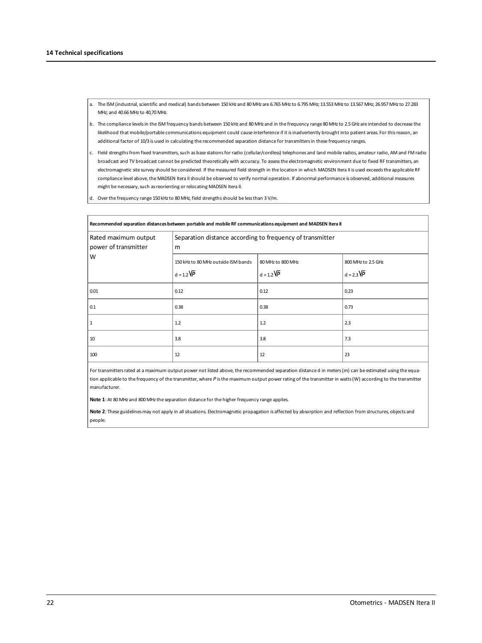- a. The ISM (industrial,scientific and medical) bands between 150 kHz and 80 MHz are 6.765 MHzto 6.795 MHz; 13.553 MHzto 13.567 MHz; 26.957 MHzto 27.283 MHz: and 40.66 MHz to 40.70 MHz.
- b. The compliance levelsin the ISM frequency bands between 150 kHz and 80 MHz and in the frequency range 80 MHzto 2.5GHz are intended to decrease the likelihood that mobile/portable communications equipment could cause interference if it is inadvertently brought into patient areas. For this reason, an additional factor of 10/3 is used in calculating the recommended separation distance for transmittersin these frequency ranges.
- c. Field strengths from fixed transmitters, such as base stations for radio (cellular/cordless) telephones and land mobile radios, amateur radio, AM and FM radio broadcast and TV broadcast cannot be predicted theoretically with accuracy. To assessthe electromagnetic environment due to fixed RF transmitters, an electromagnetic site survey should be considered. If the measured field strength in the location in which MADSEN Itera II is used exceedsthe applicable RF compliance level above, the MADSEN Itera IIshould be observed to verify normal operation. If abnormal performance is observed, additional measures might be necessary, such as reorienting or relocating MADSEN Itera II.
- d. Over the frequency range 150 kHz to 80 MHz, field strengths should be less than 3 V/m.

| Recommended separation distances between portable and mobile RF communications equipment and MADSEN Itera II |                                                                |                                             |                                         |  |
|--------------------------------------------------------------------------------------------------------------|----------------------------------------------------------------|---------------------------------------------|-----------------------------------------|--|
| Rated maximum output<br>power of transmitter                                                                 | Separation distance according to frequency of transmitter<br>m |                                             |                                         |  |
| W                                                                                                            | 150 kHz to 80 MHz outside ISM bands<br>$d = 1.2\sqrt{P}$       | 80 MHz to 800 MHz<br>$d = 1.2\overline{VP}$ | 800 MHz to 2.5 GHz<br>$d = 2.3\sqrt{P}$ |  |
| 0.01                                                                                                         | 0.12                                                           | 0.12                                        | 0.23                                    |  |
| 0.1                                                                                                          | 0.38                                                           | 0.38                                        | 0.73                                    |  |
| 1                                                                                                            | 1.2                                                            | 1.2                                         | 2.3                                     |  |
| 10                                                                                                           | 3.8                                                            | 3.8                                         | 7.3                                     |  |
| 100                                                                                                          | 12                                                             | 12                                          | 23                                      |  |

For transmitters rated at a maximum output power not listed above, the recommended separation distance d in meters (m) can be estimated using the equation applicable to the frequency of the transmitter, where P is the maximum output power rating of the transmitter in watts (W) according to the transmitter manufacturer.

Note 1: At 80 MHz and 800 MHz the separation distance for the higher frequency range applies.

**Note 2**: These guidelinesmay not apply in all situations. Electromagnetic propagation is affected by absorption and reflection from structures, objects and people.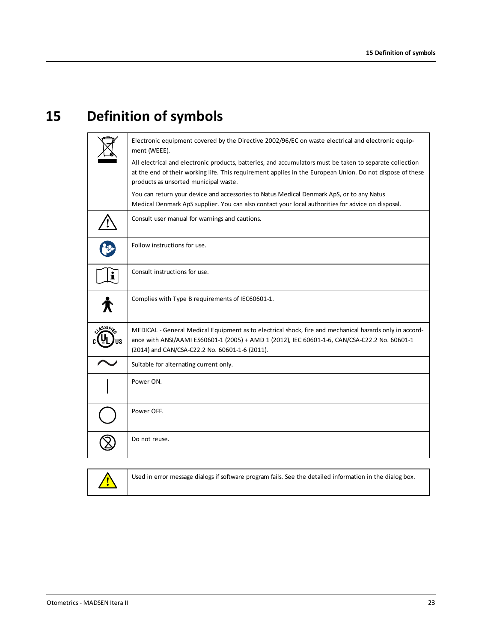## **15 Definition of symbols**

<span id="page-22-0"></span>

|                | Electronic equipment covered by the Directive 2002/96/EC on waste electrical and electronic equip-<br>ment (WEEE).                                                                                                                                             |
|----------------|----------------------------------------------------------------------------------------------------------------------------------------------------------------------------------------------------------------------------------------------------------------|
|                | All electrical and electronic products, batteries, and accumulators must be taken to separate collection<br>at the end of their working life. This requirement applies in the European Union. Do not dispose of these<br>products as unsorted municipal waste. |
|                | You can return your device and accessories to Natus Medical Denmark ApS, or to any Natus<br>Medical Denmark ApS supplier. You can also contact your local authorities for advice on disposal.                                                                  |
|                | Consult user manual for warnings and cautions.                                                                                                                                                                                                                 |
|                | Follow instructions for use.                                                                                                                                                                                                                                   |
| $\mathbf i$    | Consult instructions for use.                                                                                                                                                                                                                                  |
|                | Complies with Type B requirements of IEC60601-1.                                                                                                                                                                                                               |
| <b>ASSIFIX</b> | MEDICAL - General Medical Equipment as to electrical shock, fire and mechanical hazards only in accord-<br>ance with ANSI/AAMI ES60601-1 (2005) + AMD 1 (2012), IEC 60601-1-6, CAN/CSA-C22.2 No. 60601-1<br>(2014) and CAN/CSA-C22.2 No. 60601-1-6 (2011).     |
|                | Suitable for alternating current only.                                                                                                                                                                                                                         |
|                | Power ON.                                                                                                                                                                                                                                                      |
|                | Power OFF.                                                                                                                                                                                                                                                     |
|                | Do not reuse.                                                                                                                                                                                                                                                  |

<u> /\</u>

Used in error message dialogs if software program fails. See the detailed information in the dialog box.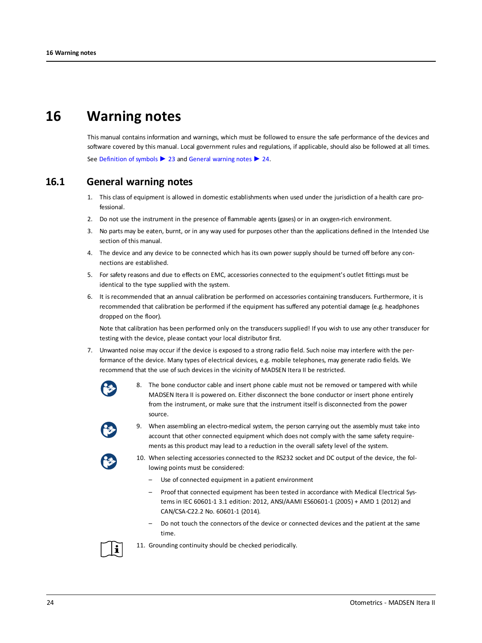### **16 Warning notes**

<span id="page-23-1"></span><span id="page-23-0"></span>This manual contains information and warnings, which must be followed to ensure the safe performance of the devices and software covered by this manual. Local government rules and regulations, if applicable, should also be followed at all times. See [Definition](#page-22-0) of symbols ► 23 and General [warning](#page-23-1) notes ► 24.

### **16.1 General warning notes**

- 1. This class of equipment is allowed in domestic establishments when used under the jurisdiction of a health care professional.
- 2. Do not use the instrument in the presence of flammable agents (gases) or in an oxygen-rich environment.
- 3. No parts may be eaten, burnt, or in any way used for purposes other than the applications defined in the Intended Use section of this manual.
- 4. The device and any device to be connected which has its own power supply should be turned off before any connections are established.
- 5. For safety reasons and due to effects on EMC, accessories connected to the equipment's outlet fittings must be identical to the type supplied with the system.
- 6. It is recommended that an annual calibration be performed on accessories containing transducers. Furthermore, it is recommended that calibration be performed if the equipment has suffered any potential damage (e.g. headphones dropped on the floor).

Note that calibration has been performed only on the transducers supplied! If you wish to use any other transducer for testing with the device, please contact your local distributor first.

- 7. Unwanted noise may occur if the device is exposed to a strong radio field. Such noise may interfere with the performance of the device. Many types of electrical devices, e.g. mobile telephones, may generate radio fields. We recommend that the use of such devices in the vicinity of MADSEN Itera II be restricted.
	- 8. The bone conductor cable and insert phone cable must not be removed or tampered with while MADSEN Itera II is powered on. Either disconnect the bone conductor or insert phone entirely from the instrument, or make sure that the instrument itself is disconnected from the power source.



9. When assembling an electro-medical system, the person carrying out the assembly must take into account that other connected equipment which does not comply with the same safety requirements as this product may lead to a reduction in the overall safety level of the system.



- 10. When selecting accessories connected to the RS232 socket and DC output of the device, the following points must be considered:
	- Use of connected equipment in a patient environment
	- Proof that connected equipment has been tested in accordance with Medical Electrical Systems in IEC 60601-1 3.1 edition: 2012, ANSI/AAMI ES60601-1 (2005) + AMD 1 (2012) and CAN/CSA-C22.2 No. 60601-1 (2014).
	- Do not touch the connectors of the device or connected devices and the patient at the same time.



11. Grounding continuity should be checked periodically.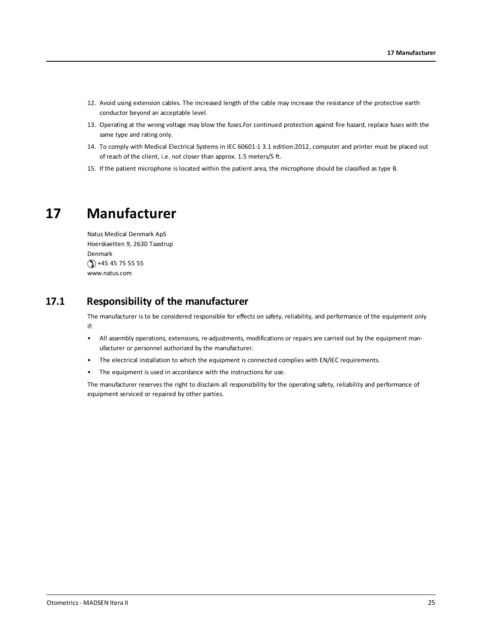- 12. Avoid using extension cables. The increased length of the cable may increase the resistance of the protective earth conductor beyond an acceptable level.
- 13. Operating at the wrong voltage may blow the fuses.For continued protection against fire hazard, replace fuses with the same type and rating only.
- 14. To comply with Medical Electrical Systems in IEC 60601-1 3.1 edition:2012, computer and printer must be placed out of reach of the client, i.e. not closer than approx. 1.5 meters/5 ft.
- <span id="page-24-0"></span>15. If the patient microphone is located within the patient area, the microphone should be classified as type B.

### **17 Manufacturer**

Natus Medical Denmark ApS Hoerskaetten 9, 2630 Taastrup Denmark  $\circ$  +45 45 75 55 55 www.natus.com

### **17.1 Responsibility of the manufacturer**

The manufacturer is to be considered responsible for effects on safety, reliability, and performance of the equipment only if:

- All assembly operations, extensions, re-adjustments, modifications or repairs are carried out by the equipment manufacturer or personnel authorized by the manufacturer.
- The electrical installation to which the equipment is connected complies with EN/IEC requirements.
- The equipment is used in accordance with the instructions for use.

The manufacturer reserves the right to disclaim all responsibility for the operating safety, reliability and performance of equipment serviced or repaired by other parties.